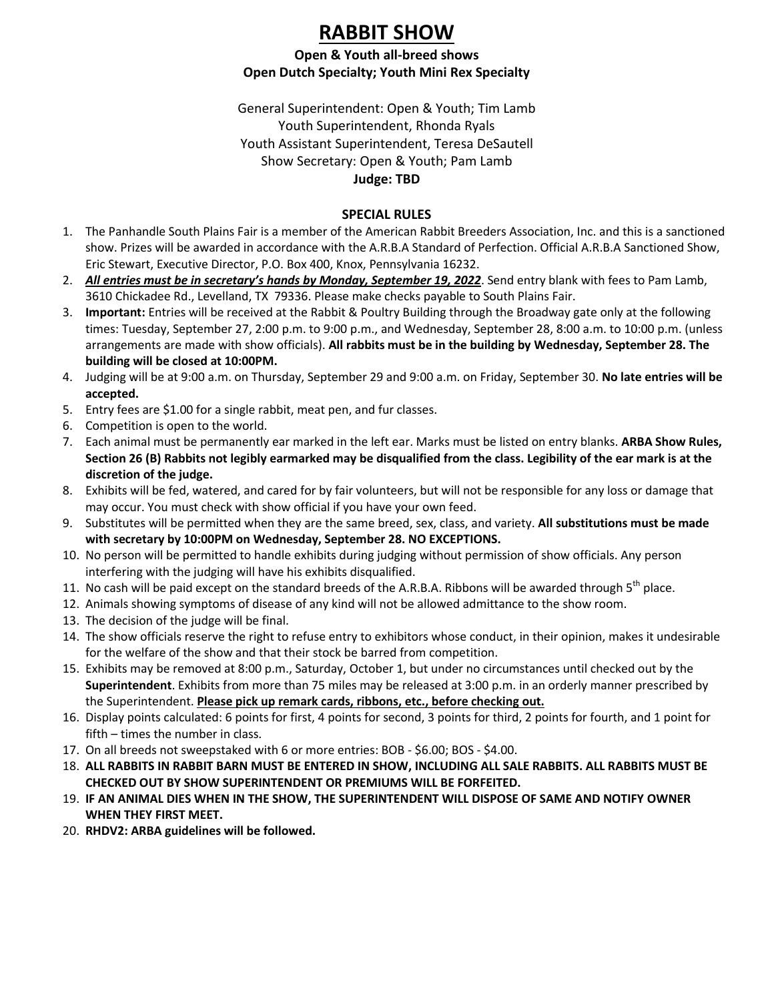# **RABBIT SHOW**

#### **Open & Youth all-breed shows Open Dutch Specialty; Youth Mini Rex Specialty**

General Superintendent: Open & Youth; Tim Lamb Youth Superintendent, Rhonda Ryals Youth Assistant Superintendent, Teresa DeSautell Show Secretary: Open & Youth; Pam Lamb **Judge: TBD**

#### **SPECIAL RULES**

- 1. The Panhandle South Plains Fair is a member of the American Rabbit Breeders Association, Inc. and this is a sanctioned show. Prizes will be awarded in accordance with the A.R.B.A Standard of Perfection. Official A.R.B.A Sanctioned Show, Eric Stewart, Executive Director, P.O. Box 400, Knox, Pennsylvania 16232.
- 2. *All entries must be in secretary's hands by Monday, September 19, 2022*. Send entry blank with fees to Pam Lamb, 3610 Chickadee Rd., Levelland, TX 79336. Please make checks payable to South Plains Fair.
- 3. **Important:** Entries will be received at the Rabbit & Poultry Building through the Broadway gate only at the following times: Tuesday, September 27, 2:00 p.m. to 9:00 p.m., and Wednesday, September 28, 8:00 a.m. to 10:00 p.m. (unless arrangements are made with show officials). **All rabbits must be in the building by Wednesday, September 28. The building will be closed at 10:00PM.**
- 4. Judging will be at 9:00 a.m. on Thursday, September 29 and 9:00 a.m. on Friday, September 30. **No late entries will be accepted.**
- 5. Entry fees are \$1.00 for a single rabbit, meat pen, and fur classes.
- 6. Competition is open to the world.
- 7. Each animal must be permanently ear marked in the left ear. Marks must be listed on entry blanks. **ARBA Show Rules, Section 26 (B) Rabbits not legibly earmarked may be disqualified from the class. Legibility of the ear mark is at the discretion of the judge.**
- 8. Exhibits will be fed, watered, and cared for by fair volunteers, but will not be responsible for any loss or damage that may occur. You must check with show official if you have your own feed.
- 9. Substitutes will be permitted when they are the same breed, sex, class, and variety. **All substitutions must be made with secretary by 10:00PM on Wednesday, September 28. NO EXCEPTIONS.**
- 10. No person will be permitted to handle exhibits during judging without permission of show officials. Any person interfering with the judging will have his exhibits disqualified.
- 11. No cash will be paid except on the standard breeds of the A.R.B.A. Ribbons will be awarded through  $5<sup>th</sup>$  place.
- 12. Animals showing symptoms of disease of any kind will not be allowed admittance to the show room.
- 13. The decision of the judge will be final.
- 14. The show officials reserve the right to refuse entry to exhibitors whose conduct, in their opinion, makes it undesirable for the welfare of the show and that their stock be barred from competition.
- 15. Exhibits may be removed at 8:00 p.m., Saturday, October 1, but under no circumstances until checked out by the **Superintendent**. Exhibits from more than 75 miles may be released at 3:00 p.m. in an orderly manner prescribed by the Superintendent. **Please pick up remark cards, ribbons, etc., before checking out.**
- 16. Display points calculated: 6 points for first, 4 points for second, 3 points for third, 2 points for fourth, and 1 point for fifth – times the number in class.
- 17. On all breeds not sweepstaked with 6 or more entries: BOB \$6.00; BOS \$4.00.
- 18. **ALL RABBITS IN RABBIT BARN MUST BE ENTERED IN SHOW, INCLUDING ALL SALE RABBITS. ALL RABBITS MUST BE CHECKED OUT BY SHOW SUPERINTENDENT OR PREMIUMS WILL BE FORFEITED.**
- 19. **IF AN ANIMAL DIES WHEN IN THE SHOW, THE SUPERINTENDENT WILL DISPOSE OF SAME AND NOTIFY OWNER WHEN THEY FIRST MEET.**
- 20. **RHDV2: ARBA guidelines will be followed.**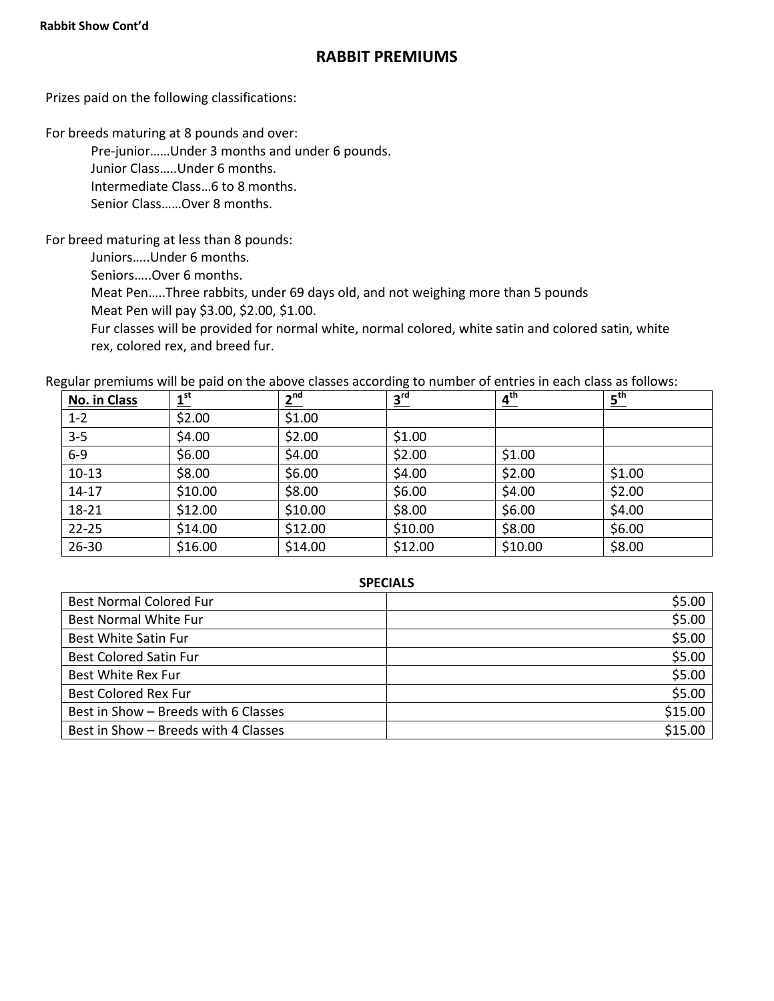## **RABBIT PREMIUMS**

Prizes paid on the following classifications:

For breeds maturing at 8 pounds and over:

Pre-junior……Under 3 months and under 6 pounds.

Junior Class…..Under 6 months.

Intermediate Class…6 to 8 months.

Senior Class……Over 8 months.

For breed maturing at less than 8 pounds:

Juniors…..Under 6 months.

Seniors…..Over 6 months.

Meat Pen…..Three rabbits, under 69 days old, and not weighing more than 5 pounds

Meat Pen will pay \$3.00, \$2.00, \$1.00.

Fur classes will be provided for normal white, normal colored, white satin and colored satin, white rex, colored rex, and breed fur.

Regular premiums will be paid on the above classes according to number of entries in each class as follows:

| No. in Class | 1 <sup>st</sup> | 2 <sup>nd</sup> | 3 <sup>rd</sup> | 4 <sup>th</sup> | $\underline{\mathbf{5}}^{\text{th}}$ |
|--------------|-----------------|-----------------|-----------------|-----------------|--------------------------------------|
| $1 - 2$      | \$2.00          | \$1.00          |                 |                 |                                      |
| $3 - 5$      | \$4.00          | \$2.00          | \$1.00          |                 |                                      |
| $6-9$        | \$6.00          | \$4.00          | \$2.00          | \$1.00          |                                      |
| $10-13$      | \$8.00          | \$6.00          | \$4.00          | \$2.00          | \$1.00                               |
| $14 - 17$    | \$10.00         | \$8.00          | \$6.00          | \$4.00          | \$2.00                               |
| 18-21        | \$12.00         | \$10.00         | \$8.00          | \$6.00          | \$4.00                               |
| $22 - 25$    | \$14.00         | \$12.00         | \$10.00         | \$8.00          | \$6.00                               |
| 26-30        | \$16.00         | \$14.00         | \$12.00         | \$10.00         | \$8.00                               |

#### **SPECIALS**

| <b>Best Normal Colored Fur</b>       | \$5.00  |
|--------------------------------------|---------|
| <b>Best Normal White Fur</b>         | \$5.00  |
| <b>Best White Satin Fur</b>          | \$5.00  |
| <b>Best Colored Satin Fur</b>        | \$5.00  |
| Best White Rex Fur                   | \$5.00  |
| <b>Best Colored Rex Fur</b>          | \$5.00  |
| Best in Show - Breeds with 6 Classes | \$15.00 |
| Best in Show - Breeds with 4 Classes | \$15.00 |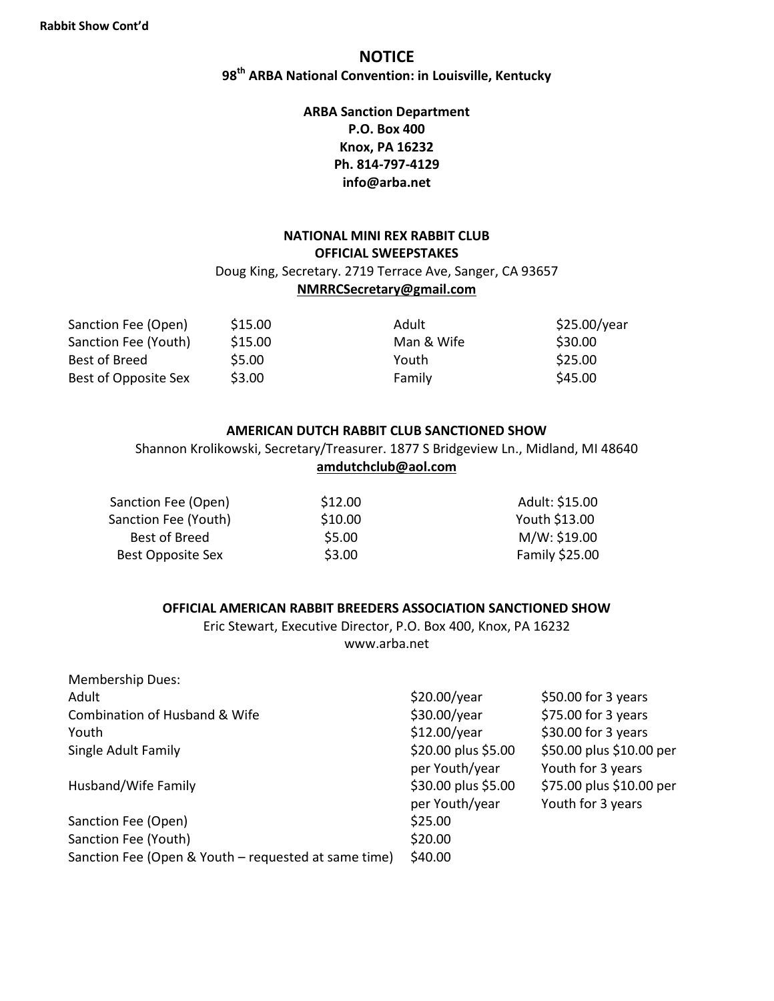## **NOTICE**

**98 th ARBA National Convention: in Louisville, Kentucky**

### **ARBA Sanction Department P.O. Box 400 Knox, PA 16232 Ph. 814-797-4129 info@arba.net**

#### **NATIONAL MINI REX RABBIT CLUB OFFICIAL SWEEPSTAKES** Doug King, Secretary. 2719 Terrace Ave, Sanger, CA 93657 **NMRRCSecretary@gmail.com**

| Sanction Fee (Open)  | \$15.00 | Adult      | \$25.00/year |
|----------------------|---------|------------|--------------|
| Sanction Fee (Youth) | \$15.00 | Man & Wife | \$30.00      |
| Best of Breed        | \$5.00  | Youth      | \$25.00      |
| Best of Opposite Sex | \$3.00  | Family     | \$45.00      |

#### **AMERICAN DUTCH RABBIT CLUB SANCTIONED SHOW**

Shannon Krolikowski, Secretary/Treasurer. 1877 S Bridgeview Ln., Midland, MI 48640 **amdutchclub@aol.com**

| \$12.00 | Adult: \$15.00 |
|---------|----------------|
| \$10.00 | Youth \$13.00  |
| \$5.00  | M/W: \$19.00   |
| \$3.00  | Family \$25.00 |
|         |                |

#### **OFFICIAL AMERICAN RABBIT BREEDERS ASSOCIATION SANCTIONED SHOW**

Eric Stewart, Executive Director, P.O. Box 400, Knox, PA 16232 www.arba.net

| <b>Membership Dues:</b>                              |                     |                          |
|------------------------------------------------------|---------------------|--------------------------|
| Adult                                                | \$20.00/year        | $$50.00$ for 3 years     |
| Combination of Husband & Wife                        | \$30.00/year        | \$75.00 for 3 years      |
| Youth                                                | \$12.00/year        | \$30.00 for 3 years      |
| Single Adult Family                                  | \$20.00 plus \$5.00 | \$50.00 plus \$10.00 per |
|                                                      | per Youth/year      | Youth for 3 years        |
| Husband/Wife Family                                  | \$30.00 plus \$5.00 | \$75.00 plus \$10.00 per |
|                                                      | per Youth/year      | Youth for 3 years        |
| Sanction Fee (Open)                                  | \$25.00             |                          |
| Sanction Fee (Youth)                                 | \$20.00             |                          |
| Sanction Fee (Open & Youth – requested at same time) | \$40.00             |                          |